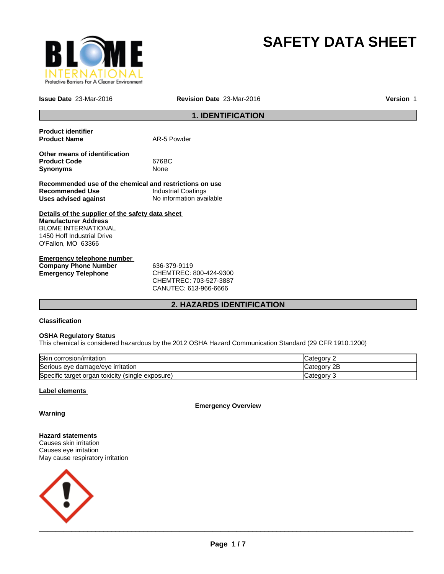

# **SAFETY DATA SHEET**

**Issue Date** 23-Mar-2016 **Revision Date** 23-Mar-2016 **Version** 1

# **1. IDENTIFICATION**

| <b>Product identifier</b><br><b>Product Name</b>        | AR-5 Powder                |
|---------------------------------------------------------|----------------------------|
|                                                         |                            |
| Other means of identification                           |                            |
| <b>Product Code</b>                                     | 676BC                      |
| <b>Synonyms</b>                                         | None                       |
|                                                         |                            |
| Recommended use of the chemical and restrictions on use |                            |
| Recommended Use                                         | <b>Industrial Coatings</b> |
| Uses advised against                                    | No information available   |
| Details of the supplier of the safety data sheet        |                            |
| <b>Manufacturer Address</b>                             |                            |
| <b>BLOME INTERNATIONAL</b>                              |                            |
| 1450 Hoff Industrial Drive                              |                            |
| O'Fallon, MO 63366                                      |                            |
| Emargenau telephang pumbar                              |                            |

| Emergency telephone number  |                             |
|-----------------------------|-----------------------------|
| <b>Company Phone Number</b> | 636-379-9119                |
| Emergency Telephone         | CHEMTREC: 800-424-9300      |
|                             | $C$ HEMTDE $C$ 703-527-3887 |

CHEMTREC: 703-527-3887 CANUTEC: 613-966-6666

# **2. HAZARDS IDENTIFICATION**

# **Classification**

### **OSHA Regulatory Status**

This chemical is considered hazardous by the 2012 OSHA Hazard Communication Standard (29 CFR 1910.1200)

| Skin corrosion/irritation                        | Category    |
|--------------------------------------------------|-------------|
| Serious eye damage/eye irritation                | Category 2B |
| Specific target organ toxicity (single exposure) | Category    |

#### **Label elements**

**Emergency Overview**

**Warning**

#### **Hazard statements** Causes skin irritation

Causes eye irritation May cause respiratory irritation

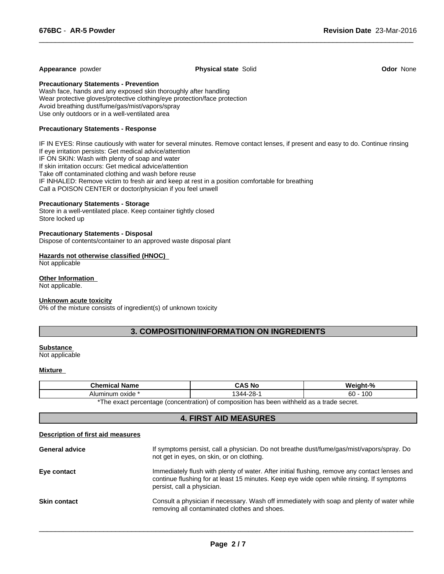#### **Appearance** powder **Physical state** Solid **Odor** None

 $\overline{\phantom{a}}$  ,  $\overline{\phantom{a}}$  ,  $\overline{\phantom{a}}$  ,  $\overline{\phantom{a}}$  ,  $\overline{\phantom{a}}$  ,  $\overline{\phantom{a}}$  ,  $\overline{\phantom{a}}$  ,  $\overline{\phantom{a}}$  ,  $\overline{\phantom{a}}$  ,  $\overline{\phantom{a}}$  ,  $\overline{\phantom{a}}$  ,  $\overline{\phantom{a}}$  ,  $\overline{\phantom{a}}$  ,  $\overline{\phantom{a}}$  ,  $\overline{\phantom{a}}$  ,  $\overline{\phantom{a}}$ 

**Precautionary Statements - Prevention**

Wash face, hands and any exposed skin thoroughly after handling Wear protective gloves/protective clothing/eye protection/face protection Avoid breathing dust/fume/gas/mist/vapors/spray Use only outdoors or in a well-ventilated area

#### **Precautionary Statements - Response**

IF IN EYES: Rinse cautiously with water for several minutes. Remove contact lenses, if present and easy to do. Continue rinsing If eye irritation persists: Get medical advice/attention IF ON SKIN: Wash with plenty of soap and water If skin irritation occurs: Get medical advice/attention Take off contaminated clothing and wash before reuse IF INHALED: Remove victim to fresh air and keep at rest in a position comfortable for breathing Call a POISON CENTER or doctor/physician if you feel unwell

#### **Precautionary Statements - Storage**

Store in a well-ventilated place. Keep container tightly closed Store locked up

#### **Precautionary Statements - Disposal**

Dispose of contents/container to an approved waste disposal plant

#### **Hazards not otherwise classified (HNOC)**

Not applicable

### **Other Information**

Not applicable.

#### **Unknown acute toxicity**

0% of the mixture consists of ingredient(s) of unknown toxicity

# **3. COMPOSITION/INFORMATION ON INGREDIENTS**

#### **Substance**

Not applicable

#### **Mixture**

| Chemical Name                                                                                              | `S No<br>JАJ     | - -<br>-07               |  |
|------------------------------------------------------------------------------------------------------------|------------------|--------------------------|--|
| Aluminum oxide                                                                                             | റഠ<br>311<br>∠o- | $\sqrt{2}$<br>60<br>∣ ∪∪ |  |
| *The exact persontage (concentration)<br>$\overline{a}$ of composition has been withhold as a trade secret |                  |                          |  |

The exact percentage (concentration) of composition has been withheld as a trade secret.

# **4. FIRST AID MEASURES**

#### **Description of first aid measures**

| <b>General advice</b> | If symptoms persist, call a physician. Do not breathe dust/fume/gas/mist/vapors/spray. Do<br>not get in eyes, on skin, or on clothing.                                                                                  |
|-----------------------|-------------------------------------------------------------------------------------------------------------------------------------------------------------------------------------------------------------------------|
| Eye contact           | Immediately flush with plenty of water. After initial flushing, remove any contact lenses and<br>continue flushing for at least 15 minutes. Keep eye wide open while rinsing. If symptoms<br>persist, call a physician. |
| <b>Skin contact</b>   | Consult a physician if necessary. Wash off immediately with soap and plenty of water while<br>removing all contaminated clothes and shoes.                                                                              |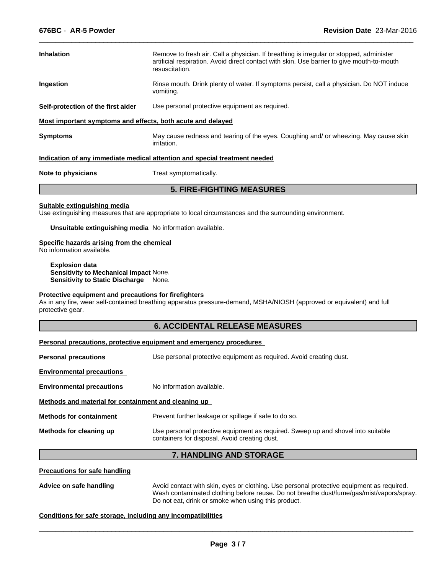| <b>Inhalation</b>                                           | Remove to fresh air. Call a physician. If breathing is irregular or stopped, administer<br>artificial respiration. Avoid direct contact with skin. Use barrier to give mouth-to-mouth<br>resuscitation. |  |  |
|-------------------------------------------------------------|---------------------------------------------------------------------------------------------------------------------------------------------------------------------------------------------------------|--|--|
| Ingestion                                                   | Rinse mouth. Drink plenty of water. If symptoms persist, call a physician. Do NOT induce<br>vomiting.                                                                                                   |  |  |
| Self-protection of the first aider                          | Use personal protective equipment as required.                                                                                                                                                          |  |  |
| Most important symptoms and effects, both acute and delayed |                                                                                                                                                                                                         |  |  |
| <b>Symptoms</b>                                             | May cause redness and tearing of the eyes. Coughing and/ or wheezing. May cause skin                                                                                                                    |  |  |

 $\overline{\phantom{a}}$  ,  $\overline{\phantom{a}}$  ,  $\overline{\phantom{a}}$  ,  $\overline{\phantom{a}}$  ,  $\overline{\phantom{a}}$  ,  $\overline{\phantom{a}}$  ,  $\overline{\phantom{a}}$  ,  $\overline{\phantom{a}}$  ,  $\overline{\phantom{a}}$  ,  $\overline{\phantom{a}}$  ,  $\overline{\phantom{a}}$  ,  $\overline{\phantom{a}}$  ,  $\overline{\phantom{a}}$  ,  $\overline{\phantom{a}}$  ,  $\overline{\phantom{a}}$  ,  $\overline{\phantom{a}}$ 

#### **Indication of any immediate medical attention and special treatment needed**

irritation.

**Note to physicians** Treat symptomatically.

### **5. FIRE-FIGHTING MEASURES**

#### **Suitable extinguishing media**

Use extinguishing measures that are appropriate to local circumstances and the surrounding environment.

**Unsuitable extinguishing media** No information available.

#### **Specific hazards arising from the chemical**

No information available.

**Explosion data Sensitivity to Mechanical Impact** None. **Sensitivity to Static Discharge** None.

#### **Protective equipment and precautions for firefighters**

As in any fire, wear self-contained breathing apparatus pressure-demand, MSHA/NIOSH (approved or equivalent) and full protective gear.

# **6. ACCIDENTAL RELEASE MEASURES**

|                                                      | Personal precautions, protective equipment and emergency procedures                                                               |  |
|------------------------------------------------------|-----------------------------------------------------------------------------------------------------------------------------------|--|
| <b>Personal precautions</b>                          | Use personal protective equipment as required. Avoid creating dust.                                                               |  |
| <b>Environmental precautions</b>                     |                                                                                                                                   |  |
| <b>Environmental precautions</b>                     | No information available.                                                                                                         |  |
| Methods and material for containment and cleaning up |                                                                                                                                   |  |
| <b>Methods for containment</b>                       | Prevent further leakage or spillage if safe to do so.                                                                             |  |
| Methods for cleaning up                              | Use personal protective equipment as required. Sweep up and shovel into suitable<br>containers for disposal. Avoid creating dust. |  |
|                                                      | 7. HANDLING AND STORAGE                                                                                                           |  |

#### **Precautions for safe handling**

**Advice on safe handling** Avoid contact with skin, eyes or clothing. Use personal protective equipment as required. Wash contaminated clothing before reuse. Do not breathe dust/fume/gas/mist/vapors/spray. Do not eat, drink or smoke when using this product.

 $\overline{\phantom{a}}$  ,  $\overline{\phantom{a}}$  ,  $\overline{\phantom{a}}$  ,  $\overline{\phantom{a}}$  ,  $\overline{\phantom{a}}$  ,  $\overline{\phantom{a}}$  ,  $\overline{\phantom{a}}$  ,  $\overline{\phantom{a}}$  ,  $\overline{\phantom{a}}$  ,  $\overline{\phantom{a}}$  ,  $\overline{\phantom{a}}$  ,  $\overline{\phantom{a}}$  ,  $\overline{\phantom{a}}$  ,  $\overline{\phantom{a}}$  ,  $\overline{\phantom{a}}$  ,  $\overline{\phantom{a}}$ 

#### **Conditions for safe storage, including any incompatibilities**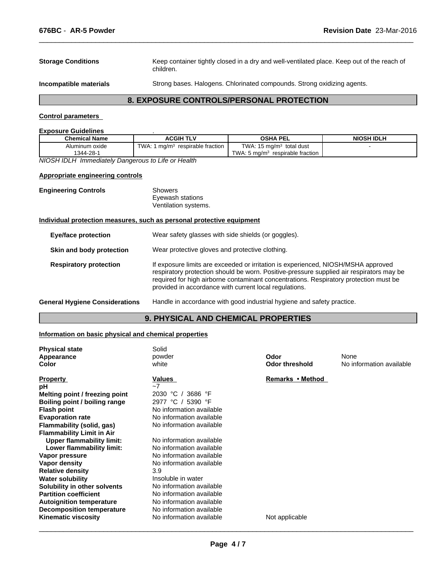**Storage Conditions** Keep container tightly closed in a dry and well-ventilated place. Keep out of the reach of children.

**Incompatible materials** Strong bases. Halogens. Chlorinated compounds. Strong oxidizing agents.

 $\overline{\phantom{a}}$  ,  $\overline{\phantom{a}}$  ,  $\overline{\phantom{a}}$  ,  $\overline{\phantom{a}}$  ,  $\overline{\phantom{a}}$  ,  $\overline{\phantom{a}}$  ,  $\overline{\phantom{a}}$  ,  $\overline{\phantom{a}}$  ,  $\overline{\phantom{a}}$  ,  $\overline{\phantom{a}}$  ,  $\overline{\phantom{a}}$  ,  $\overline{\phantom{a}}$  ,  $\overline{\phantom{a}}$  ,  $\overline{\phantom{a}}$  ,  $\overline{\phantom{a}}$  ,  $\overline{\phantom{a}}$ 

# **8. EXPOSURE CONTROLS/PERSONAL PROTECTION**

# **Control parameters**

#### **Exposure Guidelines** .

| <b>Chemical Name</b> | <b>ACGIH TLV</b>                   | <b>OSHA PEL</b>                                   | <b>NIOSH IDLH</b> |
|----------------------|------------------------------------|---------------------------------------------------|-------------------|
| Aluminum oxide       | TWA<br>ma/m<br>respirable fraction | <b>TWA: 15</b><br>total dust<br>$15 \text{ ma/m}$ |                   |
| 1344-28-1            |                                    | TWA.<br>respirable fraction<br>. 5 ma/mª          |                   |
| .<br>$\cdots$<br>.   | $\cdot$<br>$\cdot\cdot$            |                                                   |                   |

*NIOSH IDLH Immediately Dangerous to Life or Health*

#### **Appropriate engineering controls**

| <b>Engineering Controls</b> | Showers              |
|-----------------------------|----------------------|
|                             | Eyewash stations     |
|                             | Ventilation systems. |

#### **Individual protection measures, such as personal protective equipment**

# **9. PHYSICAL AND CHEMICAL PROPERTIES**

# **Information on basic physical and chemical properties**

| <b>Physical state</b>            | Solid                    |                       | None                     |
|----------------------------------|--------------------------|-----------------------|--------------------------|
| Appearance                       | powder                   | Odor                  |                          |
| Color                            | white                    | <b>Odor threshold</b> | No information available |
| <b>Property</b>                  | Values                   | Remarks • Method      |                          |
| рH                               | $-7$                     |                       |                          |
| Melting point / freezing point   | 2030 °C<br>3686 °F       |                       |                          |
| Boiling point / boiling range    | 2977 °C<br>5390 °F       |                       |                          |
| <b>Flash point</b>               | No information available |                       |                          |
| <b>Evaporation rate</b>          | No information available |                       |                          |
| Flammability (solid, gas)        | No information available |                       |                          |
| <b>Flammability Limit in Air</b> |                          |                       |                          |
| <b>Upper flammability limit:</b> | No information available |                       |                          |
| Lower flammability limit:        | No information available |                       |                          |
| Vapor pressure                   | No information available |                       |                          |
| Vapor density                    | No information available |                       |                          |
| <b>Relative density</b>          | 3.9                      |                       |                          |
| <b>Water solubility</b>          | Insoluble in water       |                       |                          |
| Solubility in other solvents     | No information available |                       |                          |
| <b>Partition coefficient</b>     | No information available |                       |                          |
| <b>Autoignition temperature</b>  | No information available |                       |                          |
| <b>Decomposition temperature</b> | No information available |                       |                          |
| <b>Kinematic viscosity</b>       | No information available | Not applicable        |                          |
|                                  |                          |                       |                          |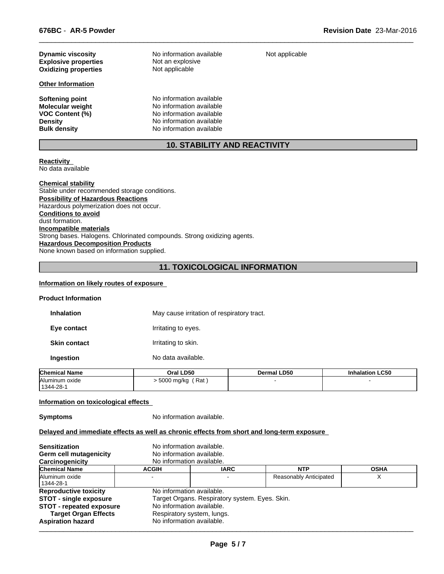| <b>Dynamic viscosity</b>    | No information available            | Not appli |
|-----------------------------|-------------------------------------|-----------|
| <b>Explosive properties</b> | Not an explosive                    |           |
| <b>Oxidizing properties</b> | Not applicable                      |           |
| <b>Other Information</b>    |                                     |           |
| Softening point             | No information available            |           |
| <b>Molecular weight</b>     | No information available            |           |
| <b>VOC Content (%)</b>      | No information available            |           |
| <b>Density</b>              | No information available            |           |
| <b>Bulk density</b>         | No information available            |           |
|                             | <b>10. STABILITY AND REACTIVITY</b> |           |

**Reactivity** 

No data available

#### **Chemical stability**

Stable under recommended storage conditions. **Possibility of Hazardous Reactions** Hazardous polymerization does not occur. **Conditions to avoid** dust formation. **Incompatible materials** Strong bases. Halogens. Chlorinated compounds. Strong oxidizing agents. **Hazardous Decomposition Products** None known based on information supplied.

# **11. TOXICOLOGICAL INFORMATION**

### **Information on likely routes of exposure**

#### **Product Information**

**Inhalation** May cause irritation of respiratory tract.

**Eye contact I**rritating to eyes.

**Skin contact Irritating to skin.** 

**Ingestion** No data available.

| <b>Chemical Name</b>        | <b>LD50</b><br>Oral | <b>Dermal LD50</b> | <b>Inhalation LC50</b> |
|-----------------------------|---------------------|--------------------|------------------------|
| Aluminum oxide<br>1344-28-1 | `Rat<br>5000 mg/kg  |                    |                        |

#### **Information on toxicological effects**

**Symptoms** No information available.

# **Delayed and immediate effects as well as chronic effects from short and long-term exposure**

| No information available.<br>Germ cell mutagenicity<br>No information available.<br>Carcinogenicity                                                                                                                                                                                                                                |
|------------------------------------------------------------------------------------------------------------------------------------------------------------------------------------------------------------------------------------------------------------------------------------------------------------------------------------|
| <b>Chemical Name</b><br><b>IARC</b><br><b>NTP</b><br><b>OSHA</b><br><b>ACGIH</b>                                                                                                                                                                                                                                                   |
| Aluminum oxide<br>Reasonably Anticipated<br>х<br>  1344-28-1                                                                                                                                                                                                                                                                       |
| No information available.<br><b>Reproductive toxicity</b><br>Target Organs. Respiratory system. Eyes. Skin.<br><b>STOT - single exposure</b><br>No information available.<br><b>STOT - repeated exposure</b><br><b>Target Organ Effects</b><br>Respiratory system, lungs.<br>No information available.<br><b>Aspiration hazard</b> |

ot applicable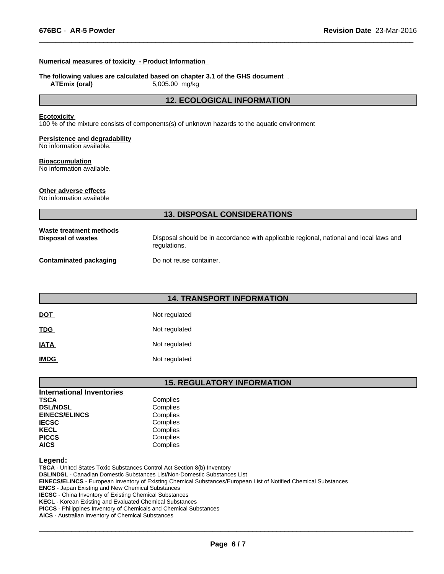#### **Numerical measures of toxicity - Product Information**

#### **The following values are calculated based on chapter 3.1 of the GHS document** .

**ATEmix (oral)** 5,005.00 mg/kg

# **12. ECOLOGICAL INFORMATION**

 $\overline{\phantom{a}}$  ,  $\overline{\phantom{a}}$  ,  $\overline{\phantom{a}}$  ,  $\overline{\phantom{a}}$  ,  $\overline{\phantom{a}}$  ,  $\overline{\phantom{a}}$  ,  $\overline{\phantom{a}}$  ,  $\overline{\phantom{a}}$  ,  $\overline{\phantom{a}}$  ,  $\overline{\phantom{a}}$  ,  $\overline{\phantom{a}}$  ,  $\overline{\phantom{a}}$  ,  $\overline{\phantom{a}}$  ,  $\overline{\phantom{a}}$  ,  $\overline{\phantom{a}}$  ,  $\overline{\phantom{a}}$ 

#### **Ecotoxicity**

100 % of the mixture consists of components(s) of unknown hazards to the aquatic environment

#### **Persistence and degradability**

No information available.

#### **Bioaccumulation**

No information available.

# **Other adverse effects**

No information available

|                                               | <b>13. DISPOSAL CONSIDERATIONS</b>                                                                     |
|-----------------------------------------------|--------------------------------------------------------------------------------------------------------|
| Waste treatment methods<br>Disposal of wastes | Disposal should be in accordance with applicable regional, national and local laws and<br>regulations. |
| Contaminated packaging                        | Do not reuse container.                                                                                |

|             | <b>14. TRANSPORT INFORMATION</b> |
|-------------|----------------------------------|
| <u>DOT</u>  | Not regulated                    |
| <b>TDG</b>  | Not regulated                    |
| <u>IATA</u> | Not regulated                    |
| <b>IMDG</b> | Not regulated                    |

# **15. REGULATORY INFORMATION**

| <b>International Inventories</b> |          |  |
|----------------------------------|----------|--|
| <b>TSCA</b>                      | Complies |  |
| <b>DSL/NDSL</b>                  | Complies |  |
| <b>EINECS/ELINCS</b>             | Complies |  |
| <b>IECSC</b>                     | Complies |  |
| <b>KECL</b>                      | Complies |  |
| <b>PICCS</b>                     | Complies |  |
| <b>AICS</b>                      | Complies |  |

#### **Legend:**

**TSCA** - United States Toxic Substances Control Act Section 8(b) Inventory **DSL/NDSL** - Canadian Domestic Substances List/Non-Domestic Substances List **EINECS/ELINCS** - European Inventory of Existing Chemical Substances/European List of Notified Chemical Substances **ENCS** - Japan Existing and New Chemical Substances **IECSC** - China Inventory of Existing Chemical Substances **KECL** - Korean Existing and Evaluated Chemical Substances **PICCS** - Philippines Inventory of Chemicals and Chemical Substances

**AICS** - Australian Inventory of Chemical Substances